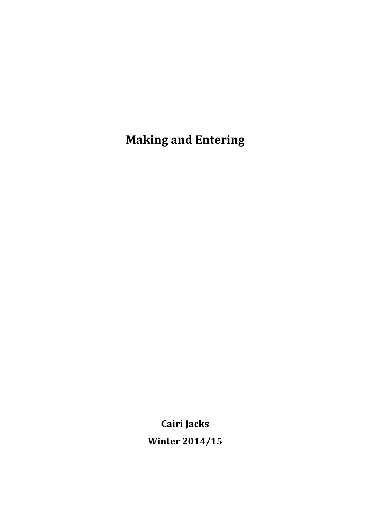**Making and Entering** 

**Cairi Jacks**

**Winter 2014/15**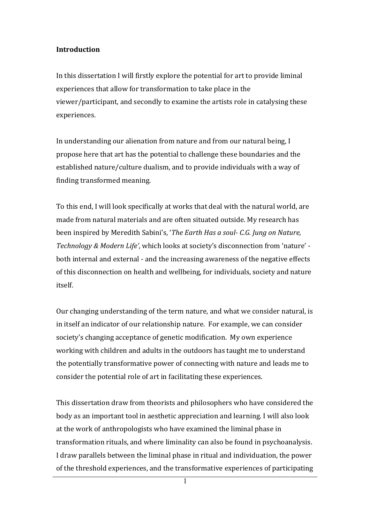### **Introduction**

In this dissertation I will firstly explore the potential for art to provide liminal experiences that allow for transformation to take place in the viewer/participant, and secondly to examine the artists role in catalysing these experiences.

In understanding our alienation from nature and from our natural being, I propose here that art has the potential to challenge these boundaries and the established nature/culture dualism, and to provide individuals with a way of finding transformed meaning.

To this end, I will look specifically at works that deal with the natural world, are made from natural materials and are often situated outside. My research has been inspired by Meredith Sabini's, '*The Earth Has a soul- C.G. Jung on Nature*, *Technology & Modern Life'*, which looks at society's disconnection from 'nature' both internal and external - and the increasing awareness of the negative effects of this disconnection on health and wellbeing, for individuals, society and nature itself.

Our changing understanding of the term nature, and what we consider natural, is in itself an indicator of our relationship nature. For example, we can consider society's changing acceptance of genetic modification. My own experience working with children and adults in the outdoors has taught me to understand the potentially transformative power of connecting with nature and leads me to consider the potential role of art in facilitating these experiences.

This dissertation draw from theorists and philosophers who have considered the body as an important tool in aesthetic appreciation and learning. I will also look at the work of anthropologists who have examined the liminal phase in transformation rituals, and where liminality can also be found in psychoanalysis. I draw parallels between the liminal phase in ritual and individuation, the power of the threshold experiences, and the transformative experiences of participating

1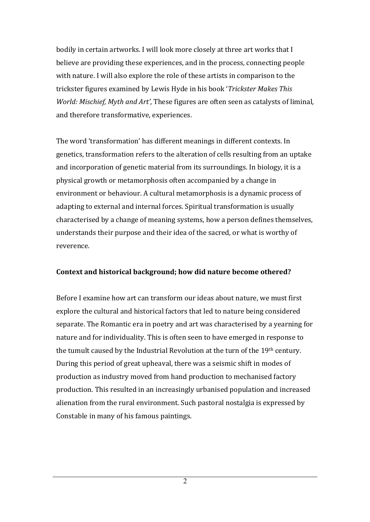bodily in certain artworks. I will look more closely at three art works that I believe are providing these experiences, and in the process, connecting people with nature. I will also explore the role of these artists in comparison to the trickster figures examined by Lewis Hyde in his book '*Trickster Makes This World: Mischief, Myth and Art'*, These figures are often seen as catalysts of liminal, and therefore transformative, experiences.

The word 'transformation' has different meanings in different contexts. In genetics, transformation refers to the alteration of cells resulting from an uptake and incorporation of genetic material from its surroundings. In biology, it is a physical growth or metamorphosis often accompanied by a change in environment or behaviour. A cultural metamorphosis is a dynamic process of adapting to external and internal forces. Spiritual transformation is usually characterised by a change of meaning systems, how a person defines themselves, understands their purpose and their idea of the sacred, or what is worthy of reverence.

### Context and historical background; how did nature become othered?

Before I examine how art can transform our ideas about nature, we must first explore the cultural and historical factors that led to nature being considered separate. The Romantic era in poetry and art was characterised by a yearning for nature and for individuality. This is often seen to have emerged in response to the tumult caused by the Industrial Revolution at the turn of the 19<sup>th</sup> century. During this period of great upheaval, there was a seismic shift in modes of production as industry moved from hand production to mechanised factory production. This resulted in an increasingly urbanised population and increased alienation from the rural environment. Such pastoral nostalgia is expressed by Constable in many of his famous paintings.

2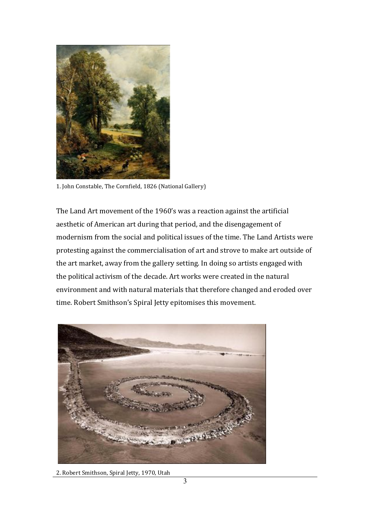

1. John Constable, The Cornfield, 1826 (National Gallery)

The Land Art movement of the 1960's was a reaction against the artificial aesthetic of American art during that period, and the disengagement of modernism from the social and political issues of the time. The Land Artists were protesting against the commercialisation of art and strove to make art outside of the art market, away from the gallery setting. In doing so artists engaged with the political activism of the decade. Art works were created in the natural environment and with natural materials that therefore changed and eroded over time. Robert Smithson's Spiral Jetty epitomises this movement.



2. Robert Smithson, Spiral Jetty, 1970, Utah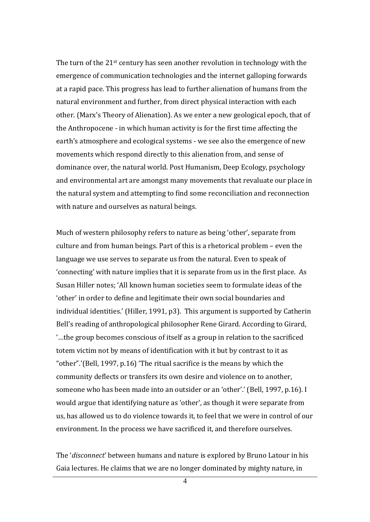The turn of the  $21^{st}$  century has seen another revolution in technology with the emergence of communication technologies and the internet galloping forwards at a rapid pace. This progress has lead to further alienation of humans from the natural environment and further, from direct physical interaction with each other. (Marx's Theory of Alienation). As we enter a new geological epoch, that of the Anthropocene - in which human activity is for the first time affecting the earth's atmosphere and ecological systems - we see also the emergence of new movements which respond directly to this alienation from, and sense of dominance over, the natural world. Post Humanism, Deep Ecology, psychology and environmental art are amongst many movements that revaluate our place in the natural system and attempting to find some reconciliation and reconnection with nature and ourselves as natural beings.

Much of western philosophy refers to nature as being 'other', separate from culture and from human beings. Part of this is a rhetorical problem – even the language we use serves to separate us from the natural. Even to speak of 'connecting' with nature implies that it is separate from us in the first place. As Susan Hiller notes; 'All known human societies seem to formulate ideas of the 'other' in order to define and legitimate their own social boundaries and individual identities.' (Hiller, 1991,  $p3$ ). This argument is supported by Catherin Bell's reading of anthropological philosopher Rene Girard. According to Girard,  $\ldots$  the group becomes conscious of itself as a group in relation to the sacrificed totem victim not by means of identification with it but by contrast to it as "other".'(Bell, 1997, p.16) 'The ritual sacrifice is the means by which the community deflects or transfers its own desire and violence on to another, someone who has been made into an outsider or an 'other'.' (Bell, 1997, p.16). I would argue that identifying nature as 'other', as though it were separate from us, has allowed us to do violence towards it, to feel that we were in control of our environment. In the process we have sacrificed it, and therefore ourselves.

The '*disconnect*' between humans and nature is explored by Bruno Latour in his Gaia lectures. He claims that we are no longer dominated by mighty nature, in

4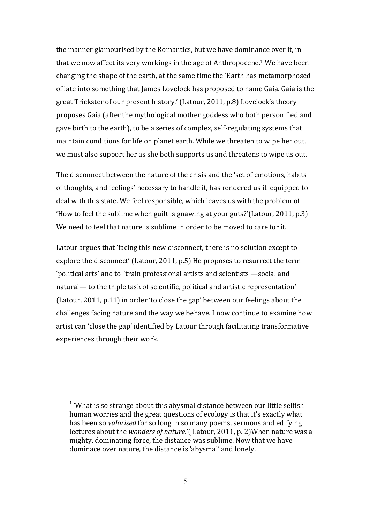the manner glamourised by the Romantics, but we have dominance over it, in that we now affect its very workings in the age of Anthropocene.<sup>1</sup> We have been changing the shape of the earth, at the same time the 'Earth has metamorphosed of late into something that James Lovelock has proposed to name Gaia. Gaia is the great Trickster of our present history.' (Latour, 2011, p.8) Lovelock's theory proposes Gaia (after the mythological mother goddess who both personified and gave birth to the earth), to be a series of complex, self-regulating systems that maintain conditions for life on planet earth. While we threaten to wipe her out, we must also support her as she both supports us and threatens to wipe us out.

The disconnect between the nature of the crisis and the 'set of emotions, habits of thoughts, and feelings' necessary to handle it, has rendered us ill equipped to deal with this state. We feel responsible, which leaves us with the problem of 'How to feel the sublime when guilt is gnawing at your guts?'(Latour, 2011, p.3) We need to feel that nature is sublime in order to be moved to care for it.

Latour argues that 'facing this new disconnect, there is no solution except to explore the disconnect' (Latour, 2011, p.5) He proposes to resurrect the term 'political arts' and to "train professional artists and scientists - social and natural— to the triple task of scientific, political and artistic representation' (Latour, 2011,  $p.11$ ) in order 'to close the gap' between our feelings about the challenges facing nature and the way we behave. I now continue to examine how artist can 'close the gap' identified by Latour through facilitating transformative experiences through their work.

<sup>&</sup>lt;sup>1</sup> 'What is so strange about this abysmal distance between our little selfish human worries and the great questions of ecology is that it's exactly what has been so *valorised* for so long in so many poems, sermons and edifying lectures about the *wonders of nature*.'( Latour, 2011, p. 2) When nature was a mighty, dominating force, the distance was sublime. Now that we have dominace over nature, the distance is 'abysmal' and lonely.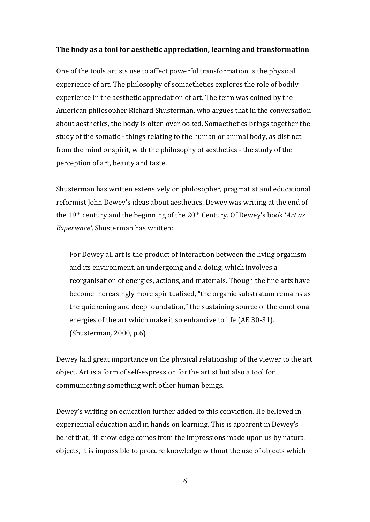# **The body as a tool for aesthetic appreciation, learning and transformation**

One of the tools artists use to affect powerful transformation is the physical experience of art. The philosophy of somaethetics explores the role of bodily experience in the aesthetic appreciation of art. The term was coined by the American philosopher Richard Shusterman, who argues that in the conversation about aesthetics, the body is often overlooked. Somaethetics brings together the study of the somatic - things relating to the human or animal body, as distinct from the mind or spirit, with the philosophy of aesthetics - the study of the perception of art, beauty and taste.

Shusterman has written extensively on philosopher, pragmatist and educational reformist John Dewey's ideas about aesthetics. Dewey was writing at the end of the 19<sup>th</sup> century and the beginning of the 20<sup>th</sup> Century. Of Dewey's book '*Art as Experience'*, Shusterman has written:

For Dewey all art is the product of interaction between the living organism and its environment, an undergoing and a doing, which involves a reorganisation of energies, actions, and materials. Though the fine arts have become increasingly more spiritualised, "the organic substratum remains as the quickening and deep foundation," the sustaining source of the emotional energies of the art which make it so enhancive to life (AE 30-31). (Shusterman*,* 2000, p.6)

Dewey laid great importance on the physical relationship of the viewer to the art object. Art is a form of self-expression for the artist but also a tool for communicating something with other human beings.

Dewey's writing on education further added to this conviction. He believed in experiential education and in hands on learning. This is apparent in Dewey's belief that, 'if knowledge comes from the impressions made upon us by natural objects, it is impossible to procure knowledge without the use of objects which

6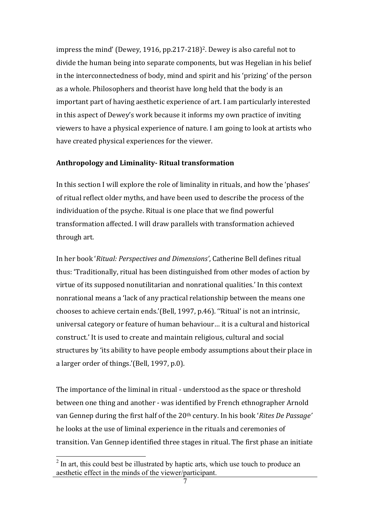impress the mind' (Dewey, 1916, pp.217-218)<sup>2</sup>. Dewey is also careful not to divide the human being into separate components, but was Hegelian in his belief in the interconnectedness of body, mind and spirit and his 'prizing' of the person as a whole. Philosophers and theorist have long held that the body is an important part of having aesthetic experience of art. I am particularly interested in this aspect of Dewey's work because it informs my own practice of inviting viewers to have a physical experience of nature. I am going to look at artists who have created physical experiences for the viewer.

### **Anthropology and Liminality- Ritual transformation**

In this section I will explore the role of liminality in rituals, and how the 'phases' of ritual reflect older myths, and have been used to describe the process of the individuation of the psyche. Ritual is one place that we find powerful transformation affected. I will draw parallels with transformation achieved through art.

In her book '*Ritual: Perspectives and Dimensions'*, Catherine Bell defines ritual thus: 'Traditionally, ritual has been distinguished from other modes of action by virtue of its supposed nonutilitarian and nonrational qualities.' In this context nonrational means a 'lack of any practical relationship between the means one chooses to achieve certain ends.'(Bell, 1997, p.46). "Ritual' is not an intrinsic, universal category or feature of human behaviour... it is a cultural and historical construct.' It is used to create and maintain religious, cultural and social structures by 'its ability to have people embody assumptions about their place in a larger order of things.'(Bell, 1997, p.0).

The importance of the liminal in ritual - understood as the space or threshold between one thing and another - was identified by French ethnographer Arnold van Gennep during the first half of the 20<sup>th</sup> century. In his book '*Rites De Passage'* he looks at the use of liminal experience in the rituals and ceremonies of transition. Van Gennep identified three stages in ritual. The first phase an initiate

<sup>&</sup>lt;sup>2</sup> In art, this could best be illustrated by haptic arts, which use touch to produce an aesthetic effect in the minds of the viewer/participant.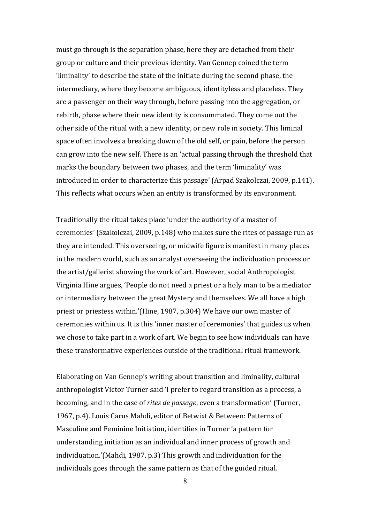must go through is the separation phase, here they are detached from their group or culture and their previous identity. Van Gennep coined the term 'liminality' to describe the state of the initiate during the second phase, the intermediary, where they become ambiguous, identityless and placeless. They are a passenger on their way through, before passing into the aggregation, or rebirth, phase where their new identity is consummated. They come out the other side of the ritual with a new identity, or new role in society. This liminal space often involves a breaking down of the old self, or pain, before the person can grow into the new self. There is an 'actual passing through the threshold that marks the boundary between two phases, and the term 'liminality' was introduced in order to characterize this passage' (Arpad Szakolczai, 2009, p.141). This reflects what occurs when an entity is transformed by its environment.

Traditionally the ritual takes place 'under the authority of a master of ceremonies' (Szakolczai, 2009, p.148) who makes sure the rites of passage run as they are intended. This overseeing, or midwife figure is manifest in many places in the modern world, such as an analyst overseeing the individuation process or the artist/gallerist showing the work of art. However, social Anthropologist Virginia Hine argues, 'People do not need a priest or a holy man to be a mediator or intermediary between the great Mystery and themselves. We all have a high priest or priestess within.'(Hine, 1987, p.304) We have our own master of ceremonies within us. It is this 'inner master of ceremonies' that guides us when we chose to take part in a work of art. We begin to see how individuals can have these transformative experiences outside of the traditional ritual framework.

Elaborating on Van Gennep's writing about transition and liminality, cultural anthropologist Victor Turner said 'I prefer to regard transition as a process, a becoming, and in the case of *rites de passage*, even a transformation' (Turner, 1967, p.4). Louis Carus Mahdi, editor of Betwixt & Between: Patterns of Masculine and Feminine Initiation, identifies in Turner 'a pattern for understanding initiation as an individual and inner process of growth and individuation.'(Mahdi, 1987, p.3) This growth and individuation for the individuals goes through the same pattern as that of the guided ritual.

8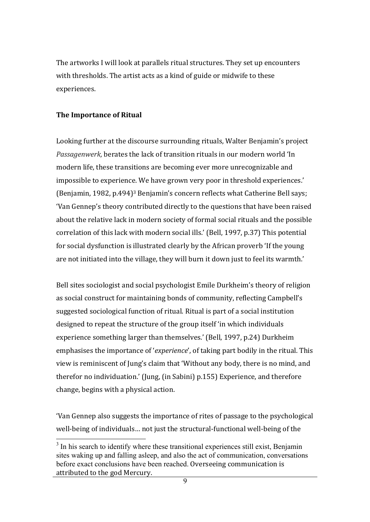The artworks I will look at parallels ritual structures. They set up encounters with thresholds. The artist acts as a kind of guide or midwife to these experiences.

## **The Importance of Ritual**

Looking further at the discourse surrounding rituals, Walter Benjamin's project *Passagenwerk*, berates the lack of transition rituals in our modern world 'In modern life, these transitions are becoming ever more unrecognizable and impossible to experience. We have grown very poor in threshold experiences.' (Benjamin, 1982, p.494)<sup>3</sup> Benjamin's concern reflects what Catherine Bell says; 'Van Gennep's theory contributed directly to the questions that have been raised about the relative lack in modern society of formal social rituals and the possible correlation of this lack with modern social ills.' (Bell, 1997, p.37) This potential for social dysfunction is illustrated clearly by the African proverb 'If the young are not initiated into the village, they will burn it down just to feel its warmth.'

Bell sites sociologist and social psychologist Emile Durkheim's theory of religion as social construct for maintaining bonds of community, reflecting Campbell's suggested sociological function of ritual. Ritual is part of a social institution designed to repeat the structure of the group itself 'in which individuals experience something larger than themselves.' (Bell, 1997, p.24) Durkheim emphasises the importance of '*experience*', of taking part bodily in the ritual. This view is reminiscent of Jung's claim that 'Without any body, there is no mind, and therefor no individuation.' (Jung, (in Sabini)  $p.155$ ) Experience, and therefore change, begins with a physical action.

'Van Gennep also suggests the importance of rites of passage to the psychological well-being of individuals... not just the structural-functional well-being of the

 $3$  In his search to identify where these transitional experiences still exist. Benjamin sites waking up and falling asleep, and also the act of communication, conversations before exact conclusions have been reached. Overseeing communication is attributed to the god Mercury.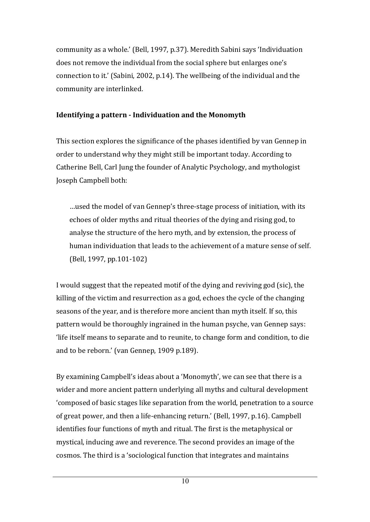community as a whole.' (Bell, 1997, p.37). Meredith Sabini says 'Individuation does not remove the individual from the social sphere but enlarges one's connection to it.' (Sabini, 2002, p.14). The wellbeing of the individual and the community are interlinked.

# **Identifying a pattern - Individuation and the Monomyth**

This section explores the significance of the phases identified by van Gennep in order to understand why they might still be important today. According to Catherine Bell, Carl Jung the founder of Analytic Psychology, and mythologist Joseph Campbell both:

...used the model of van Gennep's three-stage process of initiation, with its echoes of older myths and ritual theories of the dying and rising god, to analyse the structure of the hero myth, and by extension, the process of human individuation that leads to the achievement of a mature sense of self. (Bell, 1997, pp.101-102)

I would suggest that the repeated motif of the dying and reviving god (sic), the killing of the victim and resurrection as a god, echoes the cycle of the changing seasons of the year, and is therefore more ancient than myth itself. If so, this pattern would be thoroughly ingrained in the human psyche, van Gennep says: life itself means to separate and to reunite, to change form and condition, to die and to be reborn.' (van Gennep, 1909 p.189).

By examining Campbell's ideas about a 'Monomyth', we can see that there is a wider and more ancient pattern underlying all myths and cultural development 'composed of basic stages like separation from the world, penetration to a source of great power, and then a life-enhancing return.' (Bell, 1997, p.16). Campbell identifies four functions of myth and ritual. The first is the metaphysical or mystical, inducing awe and reverence. The second provides an image of the cosmos. The third is a 'sociological function that integrates and maintains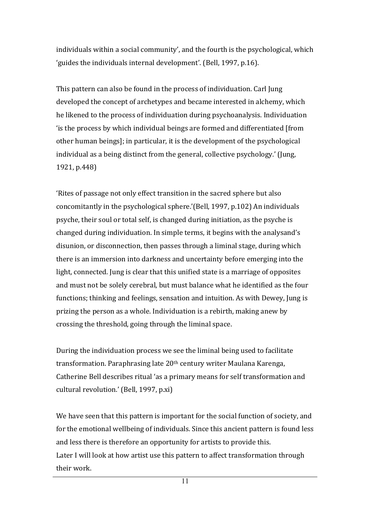individuals within a social community', and the fourth is the psychological, which 'guides the individuals internal development'. (Bell, 1997, p.16).

This pattern can also be found in the process of individuation. Carl Jung developed the concept of archetypes and became interested in alchemy, which he likened to the process of individuation during psychoanalysis. Individuation ' is the process by which individual beings are formed and differentiated [from] other human beings]; in particular, it is the development of the psychological individual as a being distinct from the general, collective psychology.' (Jung, 1921, p.448) 

'Rites of passage not only effect transition in the sacred sphere but also concomitantly in the psychological sphere.'(Bell, 1997, p.102) An individuals psyche, their soul or total self, is changed during initiation, as the psyche is changed during individuation. In simple terms, it begins with the analysand's disunion, or disconnection, then passes through a liminal stage, during which there is an immersion into darkness and uncertainty before emerging into the light, connected. Jung is clear that this unified state is a marriage of opposites and must not be solely cerebral, but must balance what he identified as the four functions; thinking and feelings, sensation and intuition. As with Dewey, Jung is prizing the person as a whole. Individuation is a rebirth, making anew by crossing the threshold, going through the liminal space.

During the individuation process we see the liminal being used to facilitate transformation. Paraphrasing late 20<sup>th</sup> century writer Maulana Karenga, Catherine Bell describes ritual 'as a primary means for self transformation and cultural revolution.' (Bell, 1997, p.xi)

We have seen that this pattern is important for the social function of society, and for the emotional wellbeing of individuals. Since this ancient pattern is found less and less there is therefore an opportunity for artists to provide this. Later I will look at how artist use this pattern to affect transformation through their work.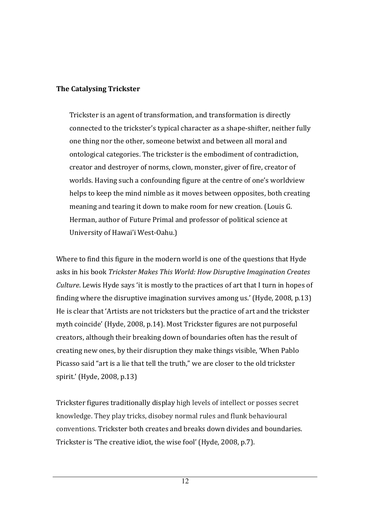# **The Catalysing Trickster**

Trickster is an agent of transformation, and transformation is directly connected to the trickster's typical character as a shape-shifter, neither fully one thing nor the other, someone betwixt and between all moral and ontological categories. The trickster is the embodiment of contradiction, creator and destroyer of norms, clown, monster, giver of fire, creator of worlds. Having such a confounding figure at the centre of one's worldview helps to keep the mind nimble as it moves between opposites, both creating meaning and tearing it down to make room for new creation. (Louis G. Herman, author of Future Primal and professor of political science at University of Hawai'i West-Oahu.)

Where to find this figure in the modern world is one of the questions that Hyde asks in his book *Trickster Makes This World: How Disruptive Imagination Creates Culture*. Lewis Hyde says 'it is mostly to the practices of art that I turn in hopes of finding where the disruptive imagination survives among us.' (Hyde, 2008, p.13) He is clear that 'Artists are not tricksters but the practice of art and the trickster myth coincide' (Hyde, 2008, p.14). Most Trickster figures are not purposeful creators, although their breaking down of boundaries often has the result of creating new ones, by their disruption they make things visible, 'When Pablo Picasso said "art is a lie that tell the truth," we are closer to the old trickster spirit.' (Hyde, 2008, p.13)

Trickster figures traditionally display high levels of intellect or posses secret knowledge. They play tricks, disobey normal rules and flunk behavioural conventions. Trickster both creates and breaks down divides and boundaries. Trickster is 'The creative idiot, the wise fool' (Hyde, 2008, p.7).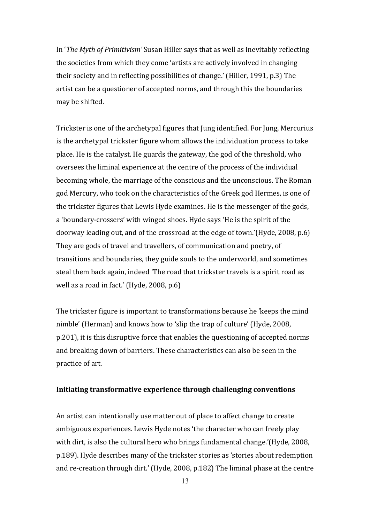In '*The Myth of Primitivism'* Susan Hiller says that as well as inevitably reflecting the societies from which they come 'artists are actively involved in changing their society and in reflecting possibilities of change.' (Hiller, 1991, p.3) The artist can be a questioner of accepted norms, and through this the boundaries may be shifted.

Trickster is one of the archetypal figures that Jung identified. For Jung, Mercurius is the archetypal trickster figure whom allows the individuation process to take place. He is the catalyst. He guards the gateway, the god of the threshold, who oversees the liminal experience at the centre of the process of the individual becoming whole, the marriage of the conscious and the unconscious. The Roman god Mercury, who took on the characteristics of the Greek god Hermes, is one of the trickster figures that Lewis Hyde examines. He is the messenger of the gods, a 'boundary-crossers' with winged shoes. Hyde says 'He is the spirit of the doorway leading out, and of the crossroad at the edge of town.'(Hyde, 2008, p.6) They are gods of travel and travellers, of communication and poetry, of transitions and boundaries, they guide souls to the underworld, and sometimes steal them back again, indeed 'The road that trickster travels is a spirit road as well as a road in fact.' (Hyde,  $2008$ , p.6)

The trickster figure is important to transformations because he 'keeps the mind nimble' (Herman) and knows how to 'slip the trap of culture' (Hyde, 2008,  $p.201$ , it is this disruptive force that enables the questioning of accepted norms and breaking down of barriers. These characteristics can also be seen in the practice of art.

#### **Initiating transformative experience through challenging conventions**

An artist can intentionally use matter out of place to affect change to create ambiguous experiences. Lewis Hyde notes 'the character who can freely play with dirt, is also the cultural hero who brings fundamental change.'(Hyde, 2008, p.189). Hyde describes many of the trickster stories as 'stories about redemption and re-creation through dirt.' (Hyde, 2008, p.182) The liminal phase at the centre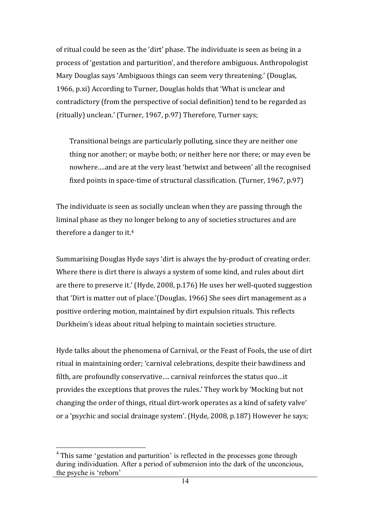of ritual could be seen as the 'dirt' phase. The individuate is seen as being in a process of 'gestation and parturition', and therefore ambiguous. Anthropologist Mary Douglas says 'Ambiguous things can seem very threatening.' (Douglas, 1966, p.xi) According to Turner, Douglas holds that 'What is unclear and contradictory (from the perspective of social definition) tend to be regarded as (ritually) unclean.' (Turner, 1967, p.97) Therefore, Turner says;

Transitional beings are particularly polluting, since they are neither one thing nor another; or maybe both; or neither here nor there; or may even be nowhere....and are at the very least 'betwixt and between' all the recognised fixed points in space-time of structural classification. (Turner,  $1967$ , p.97)

The individuate is seen as socially unclean when they are passing through the liminal phase as they no longer belong to any of societies structures and are therefore a danger to it.<sup>4</sup>

Summarising Douglas Hyde says 'dirt is always the by-product of creating order. Where there is dirt there is always a system of some kind, and rules about dirt are there to preserve it.' (Hyde, 2008, p.176) He uses her well-quoted suggestion that 'Dirt is matter out of place.'(Douglas, 1966) She sees dirt management as a positive ordering motion, maintained by dirt expulsion rituals. This reflects Durkheim's ideas about ritual helping to maintain societies structure.

Hyde talks about the phenomena of Carnival, or the Feast of Fools, the use of dirt ritual in maintaining order; 'carnival celebrations, despite their bawdiness and filth, are profoundly conservative.... carnival reinforces the status quo...it provides the exceptions that proves the rules.' They work by 'Mocking but not changing the order of things, ritual dirt-work operates as a kind of safety valve' or a 'psychic and social drainage system'. (Hyde, 2008, p.187) However he says;

<sup>&</sup>lt;sup>4</sup> This same 'gestation and parturition' is reflected in the processes gone through during individuation. After a period of submersion into the dark of the unconcious, the psyche is 'reborn'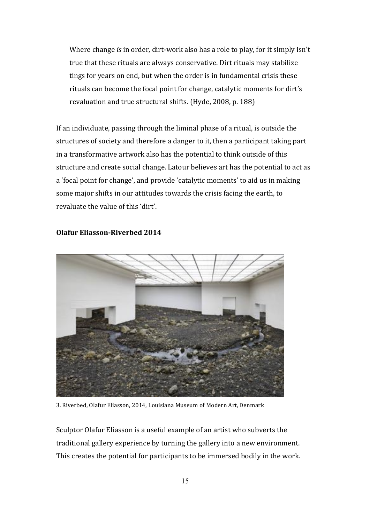Where change *is* in order, dirt-work also has a role to play, for it simply isn't true that these rituals are always conservative. Dirt rituals may stabilize tings for years on end, but when the order is in fundamental crisis these rituals can become the focal point for change, catalytic moments for dirt's revaluation and true structural shifts. (Hyde, 2008, p. 188)

If an individuate, passing through the liminal phase of a ritual, is outside the structures of society and therefore a danger to it, then a participant taking part in a transformative artwork also has the potential to think outside of this structure and create social change. Latour believes art has the potential to act as a 'focal point for change', and provide 'catalytic moments' to aid us in making some major shifts in our attitudes towards the crisis facing the earth, to revaluate the value of this 'dirt'.



## **Olafur Eliasson-Riverbed 2014**

3. Riverbed, Olafur Eliasson, 2014, Louisiana Museum of Modern Art, Denmark

Sculptor Olafur Eliasson is a useful example of an artist who subverts the traditional gallery experience by turning the gallery into a new environment. This creates the potential for participants to be immersed bodily in the work.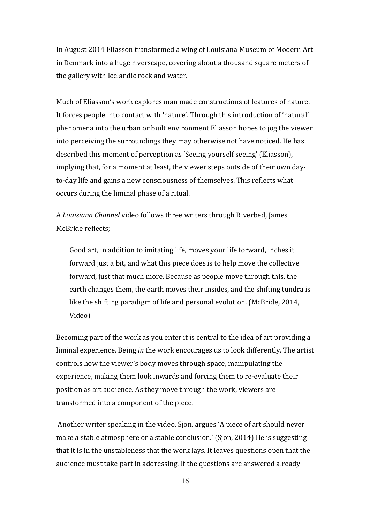In August 2014 Eliasson transformed a wing of Louisiana Museum of Modern Art in Denmark into a huge riverscape, covering about a thousand square meters of the gallery with Icelandic rock and water.

Much of Eliasson's work explores man made constructions of features of nature. It forces people into contact with 'nature'. Through this introduction of 'natural' phenomena into the urban or built environment Eliasson hopes to jog the viewer into perceiving the surroundings they may otherwise not have noticed. He has described this moment of perception as 'Seeing yourself seeing' (Eliasson), implying that, for a moment at least, the viewer steps outside of their own dayto-day life and gains a new consciousness of themselves. This reflects what occurs during the liminal phase of a ritual.

A *Louisiana Channel* video follows three writers through Riverbed, James McBride reflects:

Good art, in addition to imitating life, moves your life forward, inches it forward just a bit, and what this piece does is to help move the collective forward, just that much more. Because as people move through this, the earth changes them, the earth moves their insides, and the shifting tundra is like the shifting paradigm of life and personal evolution. (McBride, 2014, Video)

Becoming part of the work as you enter it is central to the idea of art providing a liminal experience. Being *in* the work encourages us to look differently. The artist controls how the viewer's body moves through space, manipulating the experience, making them look inwards and forcing them to re-evaluate their position as art audience. As they move through the work, viewers are transformed into a component of the piece.

Another writer speaking in the video, Sjon, argues 'A piece of art should never make a stable atmosphere or a stable conclusion.' (Sjon, 2014) He is suggesting that it is in the unstableness that the work lays. It leaves questions open that the audience must take part in addressing. If the questions are answered already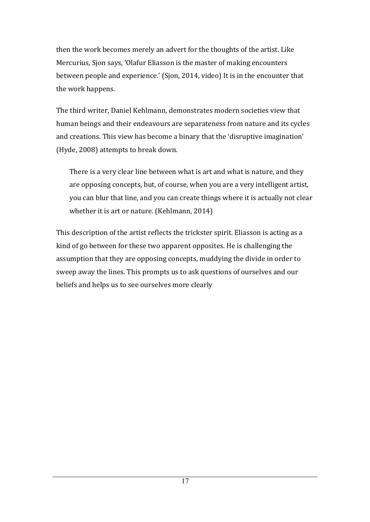then the work becomes merely an advert for the thoughts of the artist. Like Mercurius, Sjon says, 'Olafur Eliasson is the master of making encounters between people and experience.' (Sjon, 2014, video) It is in the encounter that the work happens.

The third writer, Daniel Kehlmann, demonstrates modern societies view that human beings and their endeavours are separateness from nature and its cycles and creations. This view has become a binary that the 'disruptive imagination' (Hyde, 2008) attempts to break down.

There is a very clear line between what is art and what is nature, and they are opposing concepts, but, of course, when you are a very intelligent artist, you can blur that line, and you can create things where it is actually not clear whether it is art or nature. (Kehlmann, 2014)

This description of the artist reflects the trickster spirit. Eliasson is acting as a kind of go between for these two apparent opposites. He is challenging the assumption that they are opposing concepts, muddying the divide in order to sweep away the lines. This prompts us to ask questions of ourselves and our beliefs and helps us to see ourselves more clearly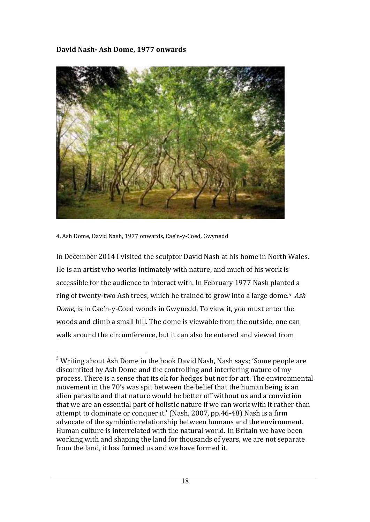# **David Nash- Ash Dome, 1977 onwards**



4. Ash Dome, David Nash, 1977 onwards, Cae'n-y-Coed, Gwynedd

In December 2014 I visited the sculptor David Nash at his home in North Wales. He is an artist who works intimately with nature, and much of his work is accessible for the audience to interact with. In February 1977 Nash planted a ring of twenty-two Ash trees, which he trained to grow into a large dome.<sup>5</sup> Ash *Dome*, is in Cae'n-y-Coed woods in Gwynedd. To view it, you must enter the woods and climb a small hill. The dome is viewable from the outside, one can walk around the circumference, but it can also be entered and viewed from

 $5$  Writing about Ash Dome in the book David Nash, Nash says; 'Some people are discomfited by Ash Dome and the controlling and interfering nature of my process. There is a sense that its ok for hedges but not for art. The environmental movement in the 70's was spit between the belief that the human being is an alien parasite and that nature would be better off without us and a conviction that we are an essential part of holistic nature if we can work with it rather than attempt to dominate or conquer it.' (Nash, 2007, pp.46-48) Nash is a firm advocate of the symbiotic relationship between humans and the environment. Human culture is interrelated with the natural world. In Britain we have been working with and shaping the land for thousands of years, we are not separate from the land, it has formed us and we have formed it.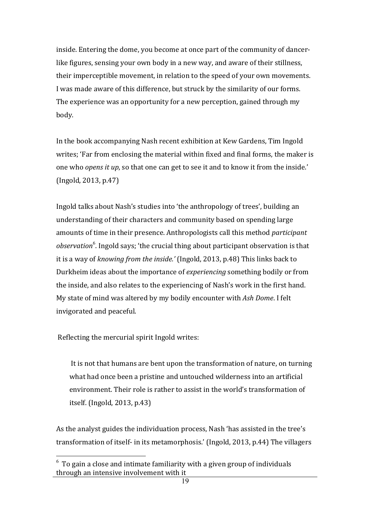inside. Entering the dome, you become at once part of the community of dancerlike figures, sensing your own body in a new way, and aware of their stillness, their imperceptible movement, in relation to the speed of your own movements. I was made aware of this difference, but struck by the similarity of our forms. The experience was an opportunity for a new perception, gained through my body.

In the book accompanying Nash recent exhibition at Kew Gardens, Tim Ingold writes; 'Far from enclosing the material within fixed and final forms, the maker is one who *opens* it *up*, so that one can get to see it and to know it from the inside.'  $(Ingold, 2013, p.47)$ 

Ingold talks about Nash's studies into 'the anthropology of trees', building an understanding of their characters and community based on spending large amounts of time in their presence. Anthropologists call this method *participant observation*<sup>6</sup>. Ingold says; 'the crucial thing about participant observation is that it is a way of *knowing from the inside.'* (Ingold, 2013, p.48) This links back to Durkheim ideas about the importance of *experiencing* something bodily or from the inside, and also relates to the experiencing of Nash's work in the first hand. My state of mind was altered by my bodily encounter with Ash Dome. I felt invigorated and peaceful.

Reflecting the mercurial spirit Ingold writes:

It is not that humans are bent upon the transformation of nature, on turning what had once been a pristine and untouched wilderness into an artificial environment. Their role is rather to assist in the world's transformation of itself. (Ingold,  $2013$ , p.43)

As the analyst guides the individuation process, Nash 'has assisted in the tree's transformation of itself- in its metamorphosis.' (Ingold, 2013, p.44) The villagers

<sup>&</sup>lt;u>Figure 2.</u><br>To gain a close and intimate familiarity with a given group of individuals through an intensive involvement with it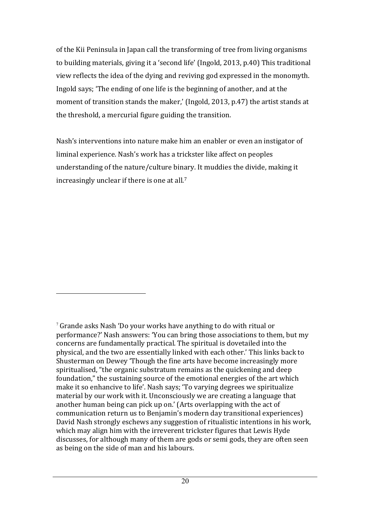of the Kii Peninsula in Japan call the transforming of tree from living organisms to building materials, giving it a 'second life' (Ingold, 2013, p.40) This traditional view reflects the idea of the dying and reviving god expressed in the monomyth. Ingold says; 'The ending of one life is the beginning of another, and at the moment of transition stands the maker,' (Ingold, 2013, p.47) the artist stands at the threshold, a mercurial figure guiding the transition.

Nash's interventions into nature make him an enabler or even an instigator of liminal experience. Nash's work has a trickster like affect on peoples understanding of the nature/culture binary. It muddies the divide, making it increasingly unclear if there is one at all.<sup>7</sup>

 $\overline{a}$ 

 $\frac{7}{1}$  Grande asks Nash 'Do your works have anything to do with ritual or performance?' Nash answers: 'You can bring those associations to them, but my concerns are fundamentally practical. The spiritual is dovetailed into the physical, and the two are essentially linked with each other.' This links back to Shusterman on Dewey 'Though the fine arts have become increasingly more spiritualised, "the organic substratum remains as the quickening and deep foundation," the sustaining source of the emotional energies of the art which make it so enhancive to life'. Nash says; 'To varying degrees we spiritualize material by our work with it. Unconsciously we are creating a language that another human being can pick up on.' (Arts overlapping with the act of communication return us to Benjamin's modern day transitional experiences) David Nash strongly eschews any suggestion of ritualistic intentions in his work, which may align him with the irreverent trickster figures that Lewis Hyde discusses, for although many of them are gods or semi gods, they are often seen as being on the side of man and his labours.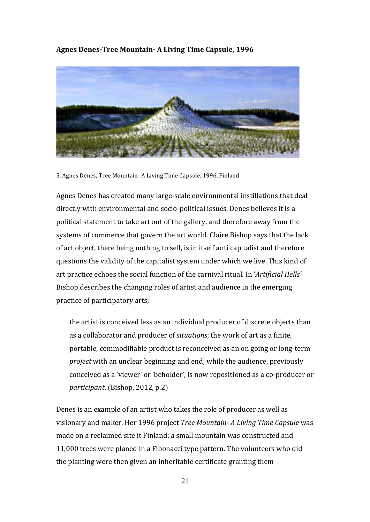Agnes Denes-Tree Mountain- A Living Time Capsule, 1996



5. Agnes Denes, Tree Mountain- A Living Time Capsule, 1996, Finland

Agnes Denes has created many large-scale environmental instillations that deal directly with environmental and socio-political issues. Denes believes it is a political statement to take art out of the gallery, and therefore away from the systems of commerce that govern the art world. Claire Bishop says that the lack of art object, there being nothing to sell, is in itself anti capitalist and therefore questions the validity of the capitalist system under which we live. This kind of art practice echoes the social function of the carnival ritual. In 'Artificial Hells' Bishop describes the changing roles of artist and audience in the emerging practice of participatory arts;

the artist is conceived less as an individual producer of discrete objects than as a collaborator and producer of *situations*; the work of art as a finite, portable, commodifiable product is reconceived as an on going or long-term *project* with an unclear beginning and end; while the audience, previously conceived as a 'viewer' or 'beholder', is now repositioned as a co-producer or *participant.* (Bishop, 2012, p.2)

Denes is an example of an artist who takes the role of producer as well as visionary and maker. Her 1996 project *Tree Mountain-A Living Time Capsule* was made on a reclaimed site it Finland; a small mountain was constructed and 11,000 trees were planed in a Fibonacci type pattern. The volunteers who did the planting were then given an inheritable certificate granting them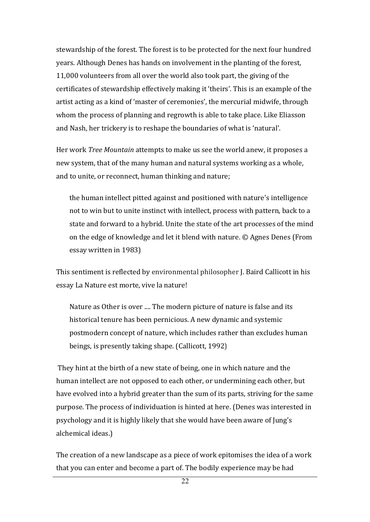stewardship of the forest. The forest is to be protected for the next four hundred years. Although Denes has hands on involvement in the planting of the forest, 11,000 volunteers from all over the world also took part, the giving of the certificates of stewardship effectively making it 'theirs'. This is an example of the artist acting as a kind of 'master of ceremonies', the mercurial midwife, through whom the process of planning and regrowth is able to take place. Like Eliasson and Nash, her trickery is to reshape the boundaries of what is 'natural'.

Her work *Tree Mountain* attempts to make us see the world anew, it proposes a new system, that of the many human and natural systems working as a whole, and to unite, or reconnect, human thinking and nature;

the human intellect pitted against and positioned with nature's intelligence not to win but to unite instinct with intellect, process with pattern, back to a state and forward to a hybrid. Unite the state of the art processes of the mind on the edge of knowledge and let it blend with nature. © Agnes Denes (From essay written in 1983)

This sentiment is reflected by environmental philosopher J. Baird Callicott in his essay La Nature est morte, vive la nature!

Nature as Other is over .... The modern picture of nature is false and its historical tenure has been pernicious. A new dynamic and systemic postmodern concept of nature, which includes rather than excludes human beings, is presently taking shape. (Callicott, 1992)

They hint at the birth of a new state of being, one in which nature and the human intellect are not opposed to each other, or undermining each other, but have evolved into a hybrid greater than the sum of its parts, striving for the same purpose. The process of individuation is hinted at here. (Denes was interested in psychology and it is highly likely that she would have been aware of Jung's alchemical ideas.)

The creation of a new landscape as a piece of work epitomises the idea of a work that you can enter and become a part of. The bodily experience may be had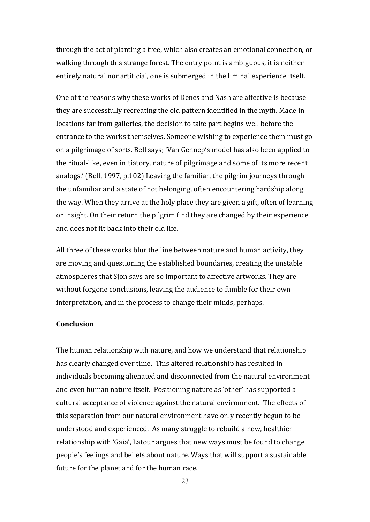through the act of planting a tree, which also creates an emotional connection, or walking through this strange forest. The entry point is ambiguous, it is neither entirely natural nor artificial, one is submerged in the liminal experience itself.

One of the reasons why these works of Denes and Nash are affective is because they are successfully recreating the old pattern identified in the myth. Made in locations far from galleries, the decision to take part begins well before the entrance to the works themselves. Someone wishing to experience them must go on a pilgrimage of sorts. Bell says; 'Van Gennep's model has also been applied to the ritual-like, even initiatory, nature of pilgrimage and some of its more recent analogs.' (Bell, 1997, p.102) Leaving the familiar, the pilgrim journeys through the unfamiliar and a state of not belonging, often encountering hardship along the way. When they arrive at the holy place they are given a gift, often of learning or insight. On their return the pilgrim find they are changed by their experience and does not fit back into their old life.

All three of these works blur the line between nature and human activity, they are moving and questioning the established boundaries, creating the unstable atmospheres that Sjon says are so important to affective artworks. They are without forgone conclusions, leaving the audience to fumble for their own interpretation, and in the process to change their minds, perhaps.

### **Conclusion**

The human relationship with nature, and how we understand that relationship has clearly changed over time. This altered relationship has resulted in individuals becoming alienated and disconnected from the natural environment and even human nature itself. Positioning nature as 'other' has supported a cultural acceptance of violence against the natural environment. The effects of this separation from our natural environment have only recently begun to be understood and experienced. As many struggle to rebuild a new, healthier relationship with 'Gaia', Latour argues that new ways must be found to change people's feelings and beliefs about nature. Ways that will support a sustainable future for the planet and for the human race.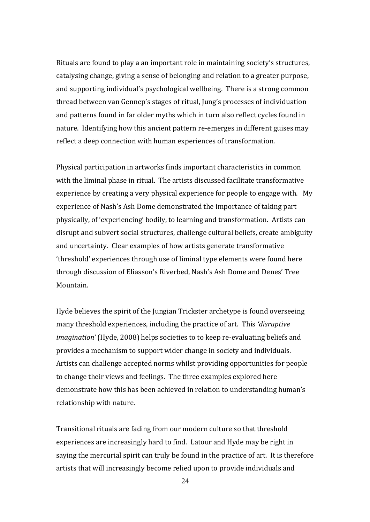Rituals are found to play a an important role in maintaining society's structures, catalysing change, giving a sense of belonging and relation to a greater purpose, and supporting individual's psychological wellbeing. There is a strong common thread between van Gennep's stages of ritual, Jung's processes of individuation and patterns found in far older myths which in turn also reflect cycles found in nature. Identifying how this ancient pattern re-emerges in different guises may reflect a deep connection with human experiences of transformation.

Physical participation in artworks finds important characteristics in common with the liminal phase in ritual. The artists discussed facilitate transformative experience by creating a very physical experience for people to engage with. My experience of Nash's Ash Dome demonstrated the importance of taking part physically, of 'experiencing' bodily, to learning and transformation. Artists can disrupt and subvert social structures, challenge cultural beliefs, create ambiguity and uncertainty. Clear examples of how artists generate transformative 'threshold' experiences through use of liminal type elements were found here through discussion of Eliasson's Riverbed, Nash's Ash Dome and Denes' Tree Mountain.

Hyde believes the spirit of the Jungian Trickster archetype is found overseeing many threshold experiences, including the practice of art. This 'disruptive *imagination'* (Hyde, 2008) helps societies to to keep re-evaluating beliefs and provides a mechanism to support wider change in society and individuals. Artists can challenge accepted norms whilst providing opportunities for people to change their views and feelings. The three examples explored here demonstrate how this has been achieved in relation to understanding human's relationship with nature.

Transitional rituals are fading from our modern culture so that threshold experiences are increasingly hard to find. Latour and Hyde may be right in saying the mercurial spirit can truly be found in the practice of art. It is therefore artists that will increasingly become relied upon to provide individuals and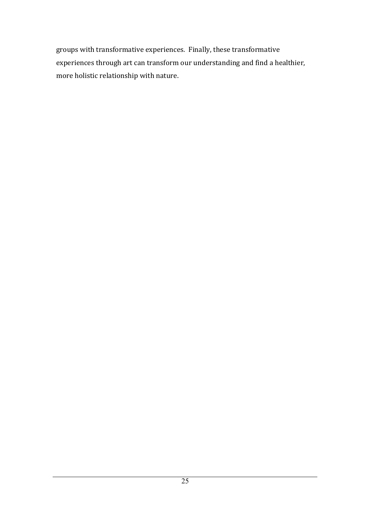groups with transformative experiences. Finally, these transformative experiences through art can transform our understanding and find a healthier, more holistic relationship with nature.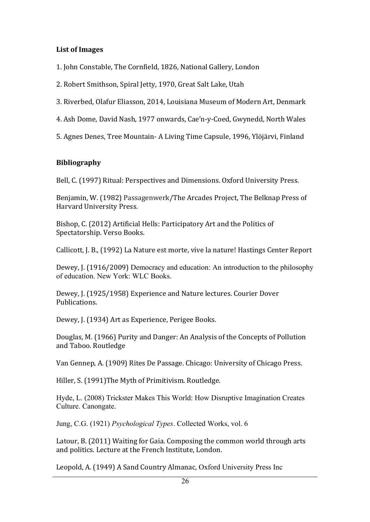# List of Images

1. John Constable, The Cornfield, 1826, National Gallery, London

- 2. Robert Smithson, Spiral Jetty, 1970, Great Salt Lake, Utah
- 3. Riverbed, Olafur Eliasson, 2014, Louisiana Museum of Modern Art, Denmark
- 4. Ash Dome, David Nash, 1977 onwards, Cae'n-y-Coed, Gwynedd, North Wales
- 5. Agnes Denes, Tree Mountain- A Living Time Capsule, 1996, Ylöjärvi, Finland

# **Bibliography**

Bell, C. (1997) Ritual: Perspectives and Dimensions. Oxford University Press.

Benjamin, W. (1982) Passagenwerk/The Arcades Project, The Belknap Press of Harvard University Press.

Bishop, C. (2012) Artificial Hells: Participatory Art and the Politics of Spectatorship. Verso Books.

Callicott, J. B., (1992) La Nature est morte, vive la nature! Hastings Center Report

Dewey, J. (1916/2009) Democracy and education: An introduction to the philosophy of education. New York: WLC Books.

Dewey, J. (1925/1958) Experience and Nature lectures. Courier Dover Publications.

Dewey, J. (1934) Art as Experience, Perigee Books.

Douglas, M. (1966) Purity and Danger: An Analysis of the Concepts of Pollution and Taboo. Routledge

Van Gennep, A. (1909) Rites De Passage. Chicago: University of Chicago Press.

Hiller, S. (1991)The Myth of Primitivism. Routledge.

Hyde, L. (2008) Trickster Makes This World: How Disruptive Imagination Creates Culture. Canongate.

Jung, C.G. (1921) *Psychological Types*. Collected Works, vol. 6

Latour, B. (2011) Waiting for Gaia. Composing the common world through arts and politics. Lecture at the French Institute, London.

Leopold, A. (1949) A Sand Country Almanac, Oxford University Press Inc